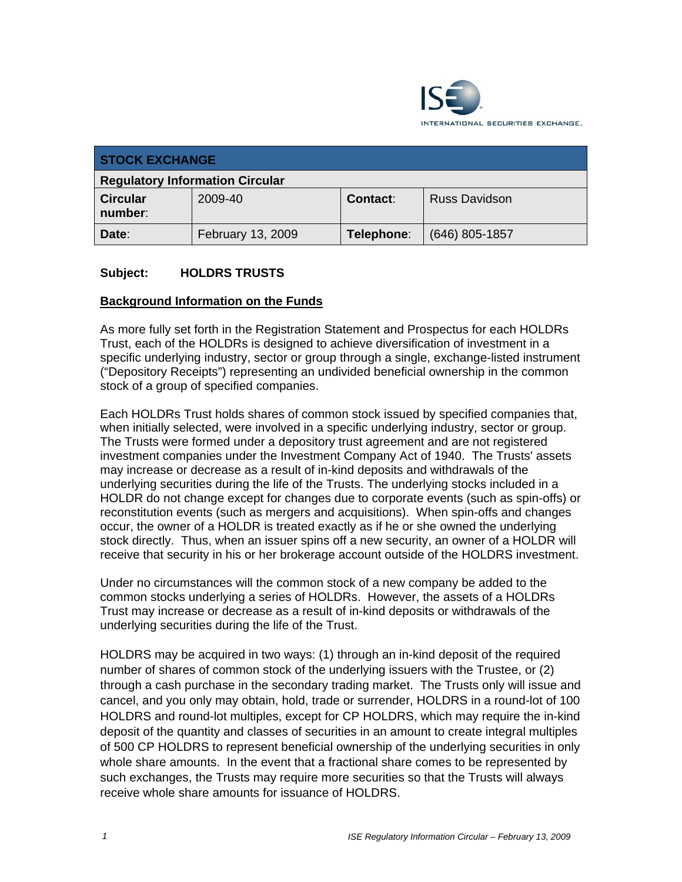

| <b>STOCK EXCHANGE</b>                  |                   |                 |                      |
|----------------------------------------|-------------------|-----------------|----------------------|
| <b>Regulatory Information Circular</b> |                   |                 |                      |
| <b>Circular</b><br>number:             | 2009-40           | <b>Contact:</b> | <b>Russ Davidson</b> |
| Date:                                  | February 13, 2009 | Telephone:      | (646) 805-1857       |

### **Subject: HOLDRS TRUSTS**

#### **Background Information on the Funds**

As more fully set forth in the Registration Statement and Prospectus for each HOLDRs Trust, each of the HOLDRs is designed to achieve diversification of investment in a specific underlying industry, sector or group through a single, exchange-listed instrument ("Depository Receipts") representing an undivided beneficial ownership in the common stock of a group of specified companies.

Each HOLDRs Trust holds shares of common stock issued by specified companies that, when initially selected, were involved in a specific underlying industry, sector or group. The Trusts were formed under a depository trust agreement and are not registered investment companies under the Investment Company Act of 1940. The Trusts' assets may increase or decrease as a result of in-kind deposits and withdrawals of the underlying securities during the life of the Trusts. The underlying stocks included in a HOLDR do not change except for changes due to corporate events (such as spin-offs) or reconstitution events (such as mergers and acquisitions). When spin-offs and changes occur, the owner of a HOLDR is treated exactly as if he or she owned the underlying stock directly. Thus, when an issuer spins off a new security, an owner of a HOLDR will receive that security in his or her brokerage account outside of the HOLDRS investment.

Under no circumstances will the common stock of a new company be added to the common stocks underlying a series of HOLDRs. However, the assets of a HOLDRs Trust may increase or decrease as a result of in-kind deposits or withdrawals of the underlying securities during the life of the Trust.

HOLDRS may be acquired in two ways: (1) through an in-kind deposit of the required number of shares of common stock of the underlying issuers with the Trustee, or (2) through a cash purchase in the secondary trading market. The Trusts only will issue and cancel, and you only may obtain, hold, trade or surrender, HOLDRS in a round-lot of 100 HOLDRS and round-lot multiples, except for CP HOLDRS, which may require the in-kind deposit of the quantity and classes of securities in an amount to create integral multiples of 500 CP HOLDRS to represent beneficial ownership of the underlying securities in only whole share amounts. In the event that a fractional share comes to be represented by such exchanges, the Trusts may require more securities so that the Trusts will always receive whole share amounts for issuance of HOLDRS.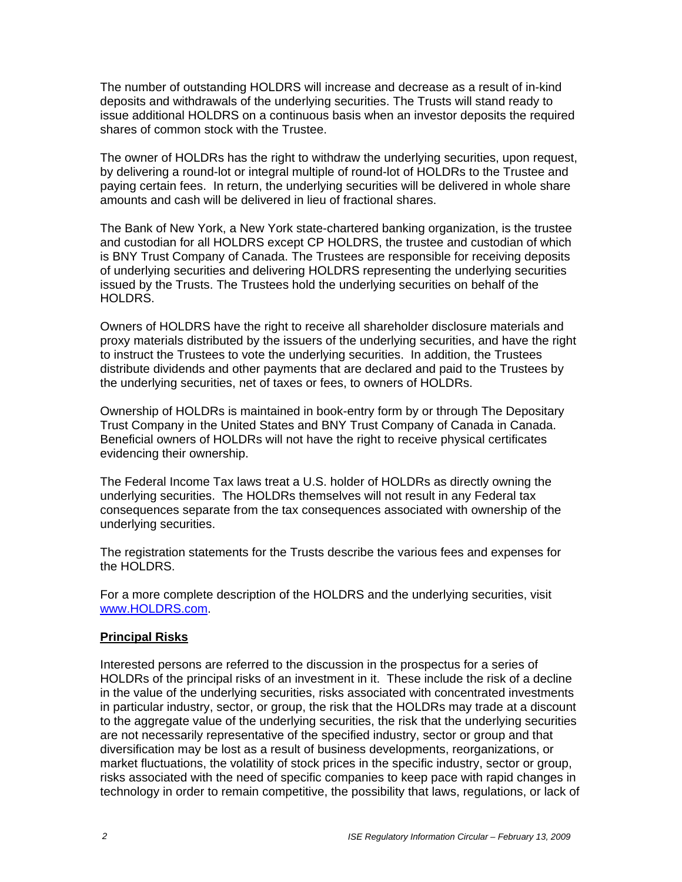The number of outstanding HOLDRS will increase and decrease as a result of in-kind deposits and withdrawals of the underlying securities. The Trusts will stand ready to issue additional HOLDRS on a continuous basis when an investor deposits the required shares of common stock with the Trustee.

The owner of HOLDRs has the right to withdraw the underlying securities, upon request, by delivering a round-lot or integral multiple of round-lot of HOLDRs to the Trustee and paying certain fees. In return, the underlying securities will be delivered in whole share amounts and cash will be delivered in lieu of fractional shares.

The Bank of New York, a New York state-chartered banking organization, is the trustee and custodian for all HOLDRS except CP HOLDRS, the trustee and custodian of which is BNY Trust Company of Canada. The Trustees are responsible for receiving deposits of underlying securities and delivering HOLDRS representing the underlying securities issued by the Trusts. The Trustees hold the underlying securities on behalf of the HOLDRS.

Owners of HOLDRS have the right to receive all shareholder disclosure materials and proxy materials distributed by the issuers of the underlying securities, and have the right to instruct the Trustees to vote the underlying securities. In addition, the Trustees distribute dividends and other payments that are declared and paid to the Trustees by the underlying securities, net of taxes or fees, to owners of HOLDRs.

Ownership of HOLDRs is maintained in book-entry form by or through The Depositary Trust Company in the United States and BNY Trust Company of Canada in Canada. Beneficial owners of HOLDRs will not have the right to receive physical certificates evidencing their ownership.

The Federal Income Tax laws treat a U.S. holder of HOLDRs as directly owning the underlying securities. The HOLDRs themselves will not result in any Federal tax consequences separate from the tax consequences associated with ownership of the underlying securities.

The registration statements for the Trusts describe the various fees and expenses for the HOLDRS.

For a more complete description of the HOLDRS and the underlying securities, visit www.HOLDRS.com.

### **Principal Risks**

Interested persons are referred to the discussion in the prospectus for a series of HOLDRs of the principal risks of an investment in it. These include the risk of a decline in the value of the underlying securities, risks associated with concentrated investments in particular industry, sector, or group, the risk that the HOLDRs may trade at a discount to the aggregate value of the underlying securities, the risk that the underlying securities are not necessarily representative of the specified industry, sector or group and that diversification may be lost as a result of business developments, reorganizations, or market fluctuations, the volatility of stock prices in the specific industry, sector or group, risks associated with the need of specific companies to keep pace with rapid changes in technology in order to remain competitive, the possibility that laws, regulations, or lack of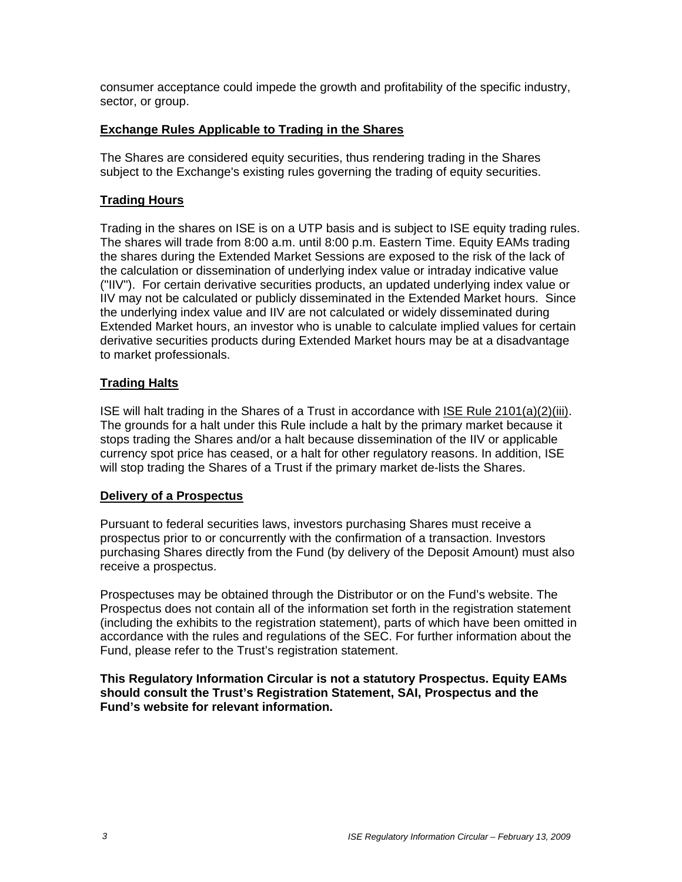consumer acceptance could impede the growth and profitability of the specific industry, sector, or group.

### **Exchange Rules Applicable to Trading in the Shares**

The Shares are considered equity securities, thus rendering trading in the Shares subject to the Exchange's existing rules governing the trading of equity securities.

# **Trading Hours**

Trading in the shares on ISE is on a UTP basis and is subject to ISE equity trading rules. The shares will trade from 8:00 a.m. until 8:00 p.m. Eastern Time. Equity EAMs trading the shares during the Extended Market Sessions are exposed to the risk of the lack of the calculation or dissemination of underlying index value or intraday indicative value ("IIV"). For certain derivative securities products, an updated underlying index value or IIV may not be calculated or publicly disseminated in the Extended Market hours. Since the underlying index value and IIV are not calculated or widely disseminated during Extended Market hours, an investor who is unable to calculate implied values for certain derivative securities products during Extended Market hours may be at a disadvantage to market professionals.

# **Trading Halts**

ISE will halt trading in the Shares of a Trust in accordance with ISE Rule 2101(a)(2)(iii). The grounds for a halt under this Rule include a halt by the primary market because it stops trading the Shares and/or a halt because dissemination of the IIV or applicable currency spot price has ceased, or a halt for other regulatory reasons. In addition, ISE will stop trading the Shares of a Trust if the primary market de-lists the Shares.

### **Delivery of a Prospectus**

Pursuant to federal securities laws, investors purchasing Shares must receive a prospectus prior to or concurrently with the confirmation of a transaction. Investors purchasing Shares directly from the Fund (by delivery of the Deposit Amount) must also receive a prospectus.

Prospectuses may be obtained through the Distributor or on the Fund's website. The Prospectus does not contain all of the information set forth in the registration statement (including the exhibits to the registration statement), parts of which have been omitted in accordance with the rules and regulations of the SEC. For further information about the Fund, please refer to the Trust's registration statement.

#### **This Regulatory Information Circular is not a statutory Prospectus. Equity EAMs should consult the Trust's Registration Statement, SAI, Prospectus and the Fund's website for relevant information.**